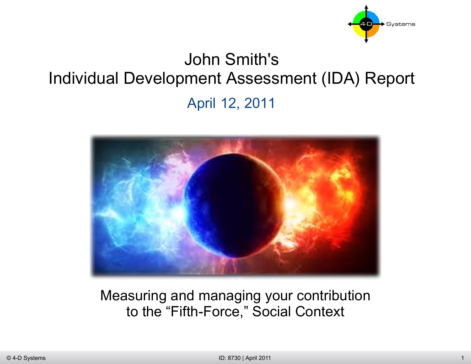

# John Smith's Individual Development Assessment (IDA) Report April 12, 2011



Measuring and managing your contribution to the "Fifth-Force," Social Context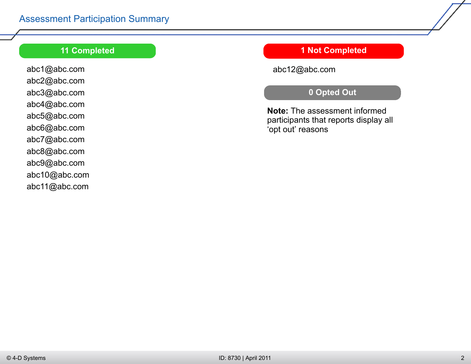#### **11 Completed**

abc1@abc.com abc2@abc.com abc3@abc.com abc4@abc.com abc5@abc.com abc6@abc.com abc7@abc.com abc8@abc.com abc9@abc.com abc10@abc.com abc11@abc.com

#### **1 Not Completed**

abc12@abc.com

## **0 Opted Out**

**Note:** The assessment informed participants that reports display all 'opt out' reasons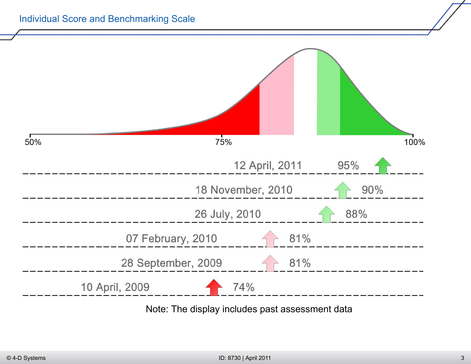

Note: The display includes past assessment data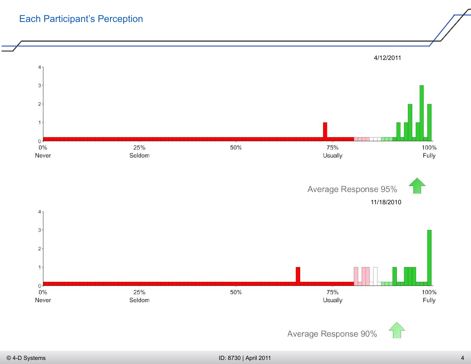# Each Participant's Perception



Average Response 90%

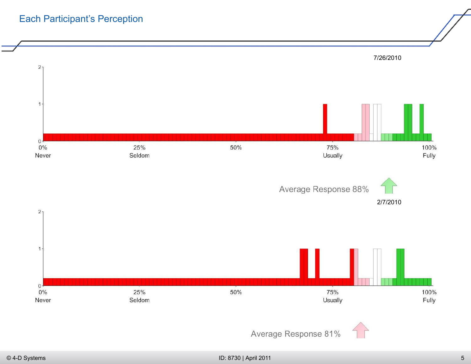# Each Participant's Perception

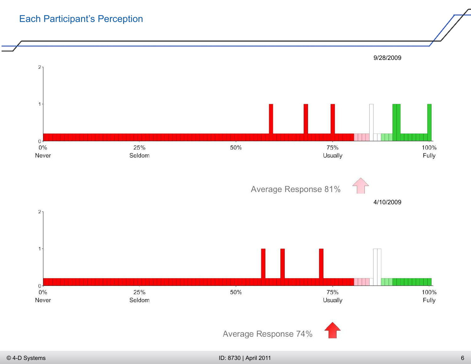# Each Participant's Perception

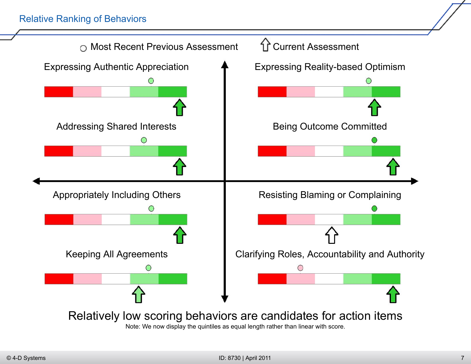#### Relative Ranking of Behaviors

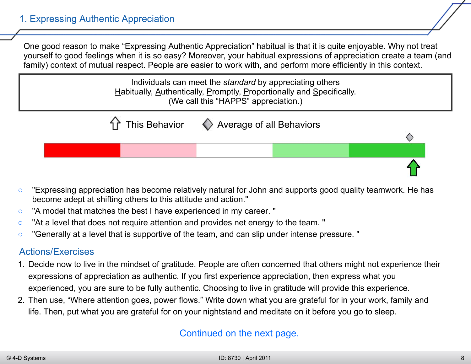One good reason to make "Expressing Authentic Appreciation" habitual is that it is quite enjoyable. Why not treat yourself to good feelings when it is so easy? Moreover, your habitual expressions of appreciation create a team (and family) context of mutual respect. People are easier to work with, and perform more efficiently in this context.

> Individuals can meet the *standard* by appreciating others Habitually, Authentically, Promptly, Proportionally and Specifically. (We call this "HAPPS" appreciation.)



- "Expressing appreciation has become relatively natural for John and supports good quality teamwork. He has become adept at shifting others to this attitude and action."
- "A model that matches the best I have experienced in my career. "
- "At a level that does not require attention and provides net energy to the team. "
- "Generally at a level that is supportive of the team, and can slip under intense pressure. "

## Actions/Exercises

- 1. Decide now to live in the mindset of gratitude. People are often concerned that others might not experience their expressions of appreciation as authentic. If you first experience appreciation, then express what you experienced, you are sure to be fully authentic. Choosing to live in gratitude will provide this experience.
- 2. Then use, "Where attention goes, power flows." Write down what you are grateful for in your work, family and life. Then, put what you are grateful for on your nightstand and meditate on it before you go to sleep.

## Continued on the next page.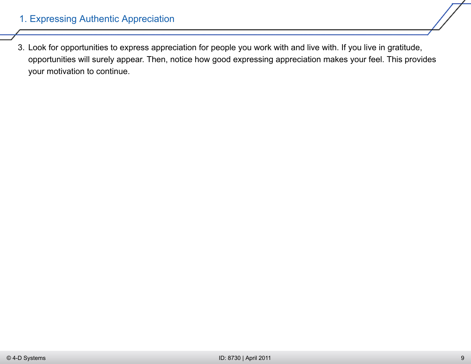3. Look for opportunities to express appreciation for people you work with and live with. If you live in gratitude, opportunities will surely appear. Then, notice how good expressing appreciation makes your feel. This provides your motivation to continue.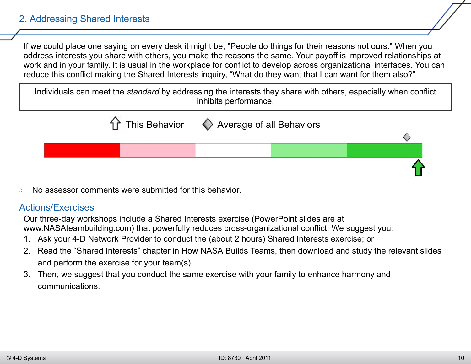#### 2. Addressing Shared Interests

If we could place one saying on every desk it might be, "People do things for their reasons not ours." When you address interests you share with others, you make the reasons the same. Your payoff is improved relationships at work and in your family. It is usual in the workplace for conflict to develop across organizational interfaces. You can reduce this conflict making the Shared Interests inquiry, "What do they want that I can want for them also?"

Individuals can meet the *standard* by addressing the interests they share with others, especially when conflict inhibits performance.



No assessor comments were submitted for this behavior.

#### Actions/Exercises

Our three-day workshops include a Shared Interests exercise (PowerPoint slides are at www.NASAteambuilding.com) that powerfully reduces cross-organizational conflict. We suggest you:

- 1. Ask your 4-D Network Provider to conduct the (about 2 hours) Shared Interests exercise; or
- 2. Read the "Shared Interests" chapter in How NASA Builds Teams, then download and study the relevant slides and perform the exercise for your team(s).
- 3. Then, we suggest that you conduct the same exercise with your family to enhance harmony and communications.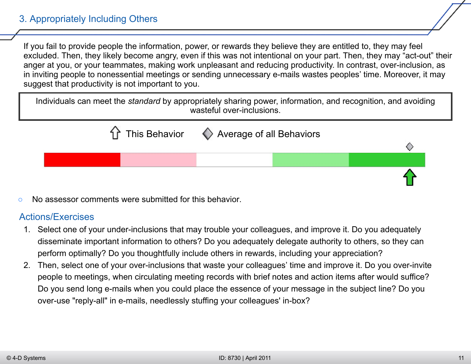## 3. Appropriately Including Others

If you fail to provide people the information, power, or rewards they believe they are entitled to, they may feel excluded. Then, they likely become angry, even if this was not intentional on your part. Then, they may "act-out" their anger at you, or your teammates, making work unpleasant and reducing productivity. In contrast, over-inclusion, as in inviting people to nonessential meetings or sending unnecessary e-mails wastes peoples' time. Moreover, it may suggest that productivity is not important to you.

Individuals can meet the *standard* by appropriately sharing power, information, and recognition, and avoiding wasteful over-inclusions.



No assessor comments were submitted for this behavior.

#### Actions/Exercises

- 1. Select one of your under-inclusions that may trouble your colleagues, and improve it. Do you adequately disseminate important information to others? Do you adequately delegate authority to others, so they can perform optimally? Do you thoughtfully include others in rewards, including your appreciation?
- 2. Then, select one of your over-inclusions that waste your colleagues' time and improve it. Do you over-invite people to meetings, when circulating meeting records with brief notes and action items after would suffice? Do you send long e-mails when you could place the essence of your message in the subject line? Do you over-use "reply-all" in e-mails, needlessly stuffing your colleagues' in-box?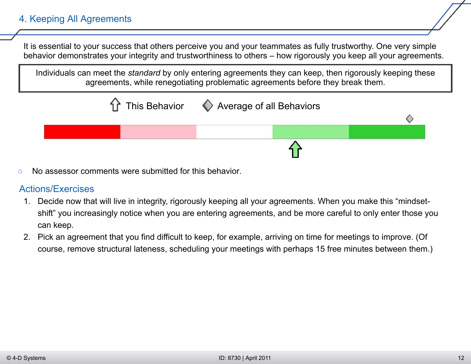## 4. Keeping All Agreements

It is essential to your success that others perceive you and your teammates as fully trustworthy. One very simple behavior demonstrates your integrity and trustworthiness to others – how rigorously you keep all your agreements.

Individuals can meet the *standard* by only entering agreements they can keep, then rigorously keeping these agreements, while renegotiating problematic agreements before they break them.



No assessor comments were submitted for this behavior.

#### Actions/Exercises

- 1. Decide now that will live in integrity, rigorously keeping all your agreements. When you make this "mindsetshift" you increasingly notice when you are entering agreements, and be more careful to only enter those you can keep.
- 2. Pick an agreement that you find difficult to keep, for example, arriving on time for meetings to improve. (Of course, remove structural lateness, scheduling your meetings with perhaps 15 free minutes between them.)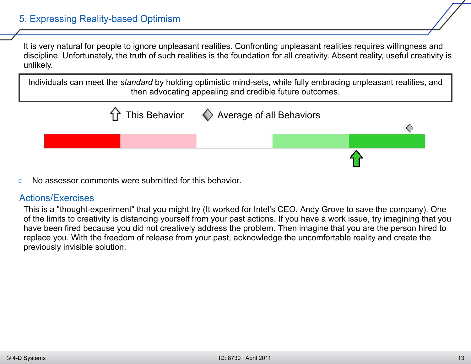It is very natural for people to ignore unpleasant realities. Confronting unpleasant realities requires willingness and discipline. Unfortunately, the truth of such realities is the foundation for all creativity. Absent reality, useful creativity is unlikely.

Individuals can meet the *standard* by holding optimistic mind-sets, while fully embracing unpleasant realities, and then advocating appealing and credible future outcomes.



○ No assessor comments were submitted for this behavior.

#### Actions/Exercises

This is a "thought-experiment" that you might try (It worked for Intel's CEO, Andy Grove to save the company). One of the limits to creativity is distancing yourself from your past actions. If you have a work issue, try imagining that you have been fired because you did not creatively address the problem. Then imagine that you are the person hired to replace you. With the freedom of release from your past, acknowledge the uncomfortable reality and create the previously invisible solution.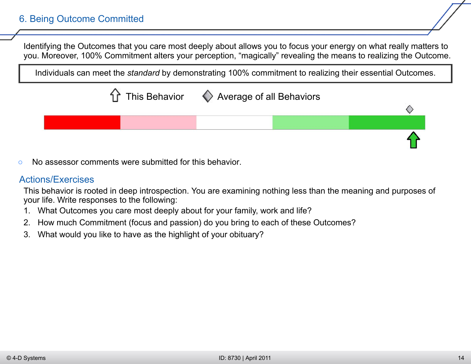Identifying the Outcomes that you care most deeply about allows you to focus your energy on what really matters to you. Moreover, 100% Commitment alters your perception, "magically" revealing the means to realizing the Outcome.

Individuals can meet the *standard* by demonstrating 100% commitment to realizing their essential Outcomes.



No assessor comments were submitted for this behavior.

#### Actions/Exercises

This behavior is rooted in deep introspection. You are examining nothing less than the meaning and purposes of your life. Write responses to the following:

- 1. What Outcomes you care most deeply about for your family, work and life?
- 2. How much Commitment (focus and passion) do you bring to each of these Outcomes?
- 3. What would you like to have as the highlight of your obituary?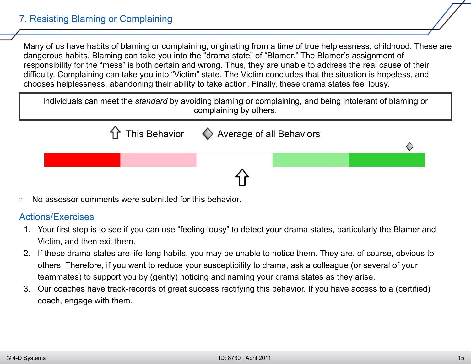## 7. Resisting Blaming or Complaining

Many of us have habits of blaming or complaining, originating from a time of true helplessness, childhood. These are dangerous habits. Blaming can take you into the "drama state" of "Blamer." The Blamer's assignment of responsibility for the "mess" is both certain and wrong. Thus, they are unable to address the real cause of their difficulty. Complaining can take you into "Victim" state. The Victim concludes that the situation is hopeless, and chooses helplessness, abandoning their ability to take action. Finally, these drama states feel lousy.

Individuals can meet the *standard* by avoiding blaming or complaining, and being intolerant of blaming or complaining by others.



No assessor comments were submitted for this behavior.

#### Actions/Exercises

- 1. Your first step is to see if you can use "feeling lousy" to detect your drama states, particularly the Blamer and Victim, and then exit them.
- 2. If these drama states are life-long habits, you may be unable to notice them. They are, of course, obvious to others. Therefore, if you want to reduce your susceptibility to drama, ask a colleague (or several of your teammates) to support you by (gently) noticing and naming your drama states as they arise.
- 3. Our coaches have track-records of great success rectifying this behavior. If you have access to a (certified) coach, engage with them.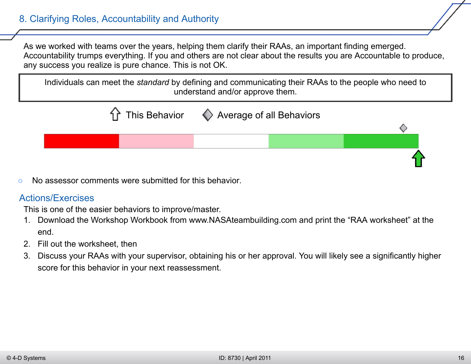## 8. Clarifying Roles, Accountability and Authority

As we worked with teams over the years, helping them clarify their RAAs, an important finding emerged. Accountability trumps everything. If you and others are not clear about the results you are Accountable to produce, any success you realize is pure chance. This is not OK.

Individuals can meet the *standard* by defining and communicating their RAAs to the people who need to understand and/or approve them.



○ No assessor comments were submitted for this behavior.

#### Actions/Exercises

This is one of the easier behaviors to improve/master.

- 1. Download the Workshop Workbook from www.NASAteambuilding.com and print the "RAA worksheet" at the end.
- 2. Fill out the worksheet, then
- 3. Discuss your RAAs with your supervisor, obtaining his or her approval. You will likely see a significantly higher score for this behavior in your next reassessment.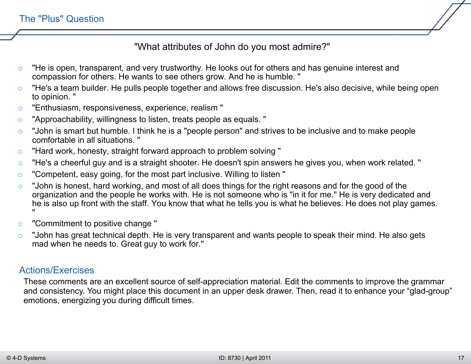"What attributes of John do you most admire?"

- "He is open, transparent, and very trustworthy. He looks out for others and has genuine interest and compassion for others. He wants to see others grow. And he is humble. "
- "He's a team builder. He pulls people together and allows free discussion. He's also decisive, while being open to opinion. "
- "Enthusiasm, responsiveness, experience, realism "
- "Approachability, willingness to listen, treats people as equals. "
- "John is smart but humble. I think he is a "people person" and strives to be inclusive and to make people comfortable in all situations. "
- "Hard work, honesty, straight forward approach to problem solving "
- "He's a cheerful guy and is a straight shooter. He doesn't spin answers he gives you, when work related. "
- "Competent, easy going, for the most part inclusive. Willing to listen "
- "John is honest, hard working, and most of all does things for the right reasons and for the good of the organization and the people he works with. He is not someone who is "in it for me." He is very dedicated and he is also up front with the staff. You know that what he tells you is what he believes. He does not play games. "
- "Commitment to positive change "
- "John has great technical depth. He is very transparent and wants people to speak their mind. He also gets mad when he needs to. Great guy to work for."

## Actions/Exercises

These comments are an excellent source of self-appreciation material. Edit the comments to improve the grammar and consistency. You might place this document in an upper desk drawer. Then, read it to enhance your "glad-group" emotions, energizing you during difficult times.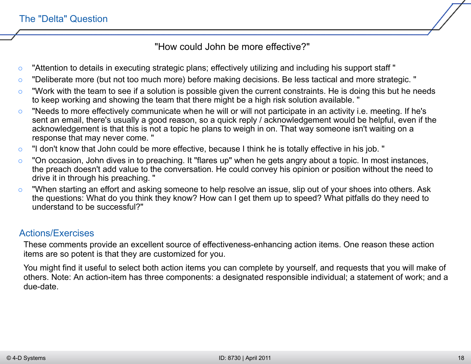"How could John be more effective?"

- "Attention to details in executing strategic plans; effectively utilizing and including his support staff "
- "Deliberate more (but not too much more) before making decisions. Be less tactical and more strategic. "
- "Work with the team to see if a solution is possible given the current constraints. He is doing this but he needs to keep working and showing the team that there might be a high risk solution available. "
- "Needs to more effectively communicate when he will or will not participate in an activity i.e. meeting. If he's sent an email, there's usually a good reason, so a quick reply / acknowledgement would be helpful, even if the acknowledgement is that this is not a topic he plans to weigh in on. That way someone isn't waiting on a response that may never come. "
- "I don't know that John could be more effective, because I think he is totally effective in his job. "
- "On occasion, John dives in to preaching. It "flares up" when he gets angry about a topic. In most instances, the preach doesn't add value to the conversation. He could convey his opinion or position without the need to drive it in through his preaching. "
- "When starting an effort and asking someone to help resolve an issue, slip out of your shoes into others. Ask the questions: What do you think they know? How can I get them up to speed? What pitfalls do they need to understand to be successful?"

#### Actions/Exercises

These comments provide an excellent source of effectiveness-enhancing action items. One reason these action items are so potent is that they are customized for you.

You might find it useful to select both action items you can complete by yourself, and requests that you will make of others. Note: An action-item has three components: a designated responsible individual; a statement of work; and a due-date.